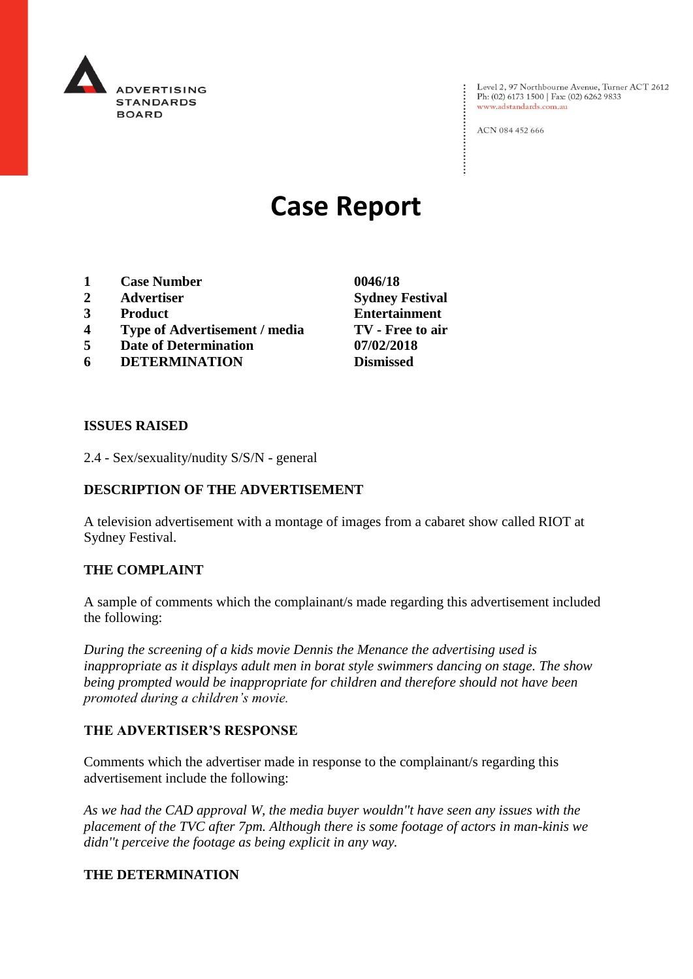

Level 2, 97 Northbourne Avenue, Turner ACT 2612<br>Ph: (02) 6173 1500 | Fax: (02) 6262 9833 www.adstandards.com.au

ACN 084 452 666

# **Case Report**

- **1 Case Number 0046/18**
- **2 Advertiser Sydney Festival**
- **3 Product Entertainment**
- **4 Type of Advertisement / media TV - Free to air**
- **5 Date of Determination 07/02/2018**
- **6 DETERMINATION Dismissed**

**ISSUES RAISED**

2.4 - Sex/sexuality/nudity S/S/N - general

## **DESCRIPTION OF THE ADVERTISEMENT**

A television advertisement with a montage of images from a cabaret show called RIOT at Sydney Festival.

#### **THE COMPLAINT**

A sample of comments which the complainant/s made regarding this advertisement included the following:

*During the screening of a kids movie Dennis the Menance the advertising used is inappropriate as it displays adult men in borat style swimmers dancing on stage. The show being prompted would be inappropriate for children and therefore should not have been promoted during a children's movie.* 

#### **THE ADVERTISER'S RESPONSE**

Comments which the advertiser made in response to the complainant/s regarding this advertisement include the following:

*As we had the CAD approval W, the media buyer wouldn''t have seen any issues with the placement of the TVC after 7pm. Although there is some footage of actors in man-kinis we didn''t perceive the footage as being explicit in any way.* 

### **THE DETERMINATION**